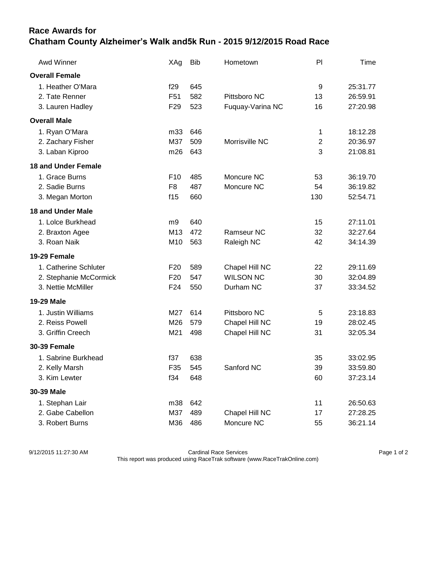## **Race Awards for Chatham County Alzheimer's Walk and5k Run - 2015 9/12/2015 Road Race**

| Awd Winner                 | XAg             | <b>Bib</b> | Hometown         | P              | Time     |
|----------------------------|-----------------|------------|------------------|----------------|----------|
| <b>Overall Female</b>      |                 |            |                  |                |          |
| 1. Heather O'Mara          | f29             | 645        |                  | 9              | 25:31.77 |
| 2. Tate Renner             | F51             | 582        | Pittsboro NC     | 13             | 26:59.91 |
| 3. Lauren Hadley           | F <sub>29</sub> | 523        | Fuquay-Varina NC | 16             | 27:20.98 |
| <b>Overall Male</b>        |                 |            |                  |                |          |
| 1. Ryan O'Mara             | m33             | 646        |                  | 1              | 18:12.28 |
| 2. Zachary Fisher          | M37             | 509        | Morrisville NC   | $\overline{2}$ | 20:36.97 |
| 3. Laban Kiproo            | m26             | 643        |                  | 3              | 21:08.81 |
| <b>18 and Under Female</b> |                 |            |                  |                |          |
| 1. Grace Burns             | F <sub>10</sub> | 485        | Moncure NC       | 53             | 36:19.70 |
| 2. Sadie Burns             | F <sub>8</sub>  | 487        | Moncure NC       | 54             | 36:19.82 |
| 3. Megan Morton            | f15             | 660        |                  | 130            | 52:54.71 |
| <b>18 and Under Male</b>   |                 |            |                  |                |          |
| 1. Lolce Burkhead          | m9              | 640        |                  | 15             | 27:11.01 |
| 2. Braxton Agee            | M13             | 472        | Ramseur NC       | 32             | 32:27.64 |
| 3. Roan Naik               | M10             | 563        | Raleigh NC       | 42             | 34:14.39 |
| 19-29 Female               |                 |            |                  |                |          |
| 1. Catherine Schluter      | F <sub>20</sub> | 589        | Chapel Hill NC   | 22             | 29:11.69 |
| 2. Stephanie McCormick     | F <sub>20</sub> | 547        | <b>WILSON NC</b> | 30             | 32:04.89 |
| 3. Nettie McMiller         | F <sub>24</sub> | 550        | Durham NC        | 37             | 33:34.52 |
| 19-29 Male                 |                 |            |                  |                |          |
| 1. Justin Williams         | M27             | 614        | Pittsboro NC     | 5              | 23:18.83 |
| 2. Reiss Powell            | M26             | 579        | Chapel Hill NC   | 19             | 28:02.45 |
| 3. Griffin Creech          | M21             | 498        | Chapel Hill NC   | 31             | 32:05.34 |
| <b>30-39 Female</b>        |                 |            |                  |                |          |
| 1. Sabrine Burkhead        | f37             | 638        |                  | 35             | 33:02.95 |
| 2. Kelly Marsh             | F35             | 545        | Sanford NC       | 39             | 33:59.80 |
| 3. Kim Lewter              | f34             | 648        |                  | 60             | 37:23.14 |
| 30-39 Male                 |                 |            |                  |                |          |
| 1. Stephan Lair            | m38             | 642        |                  | 11             | 26:50.63 |
| 2. Gabe Cabellon           | M37             | 489        | Chapel Hill NC   | 17             | 27:28.25 |
| 3. Robert Burns            | M36             | 486        | Moncure NC       | 55             | 36:21.14 |

9/12/2015 11:27:30 AM Cardinal Race Services Page 1 of 2 This report was produced using RaceTrak software (www.RaceTrakOnline.com)